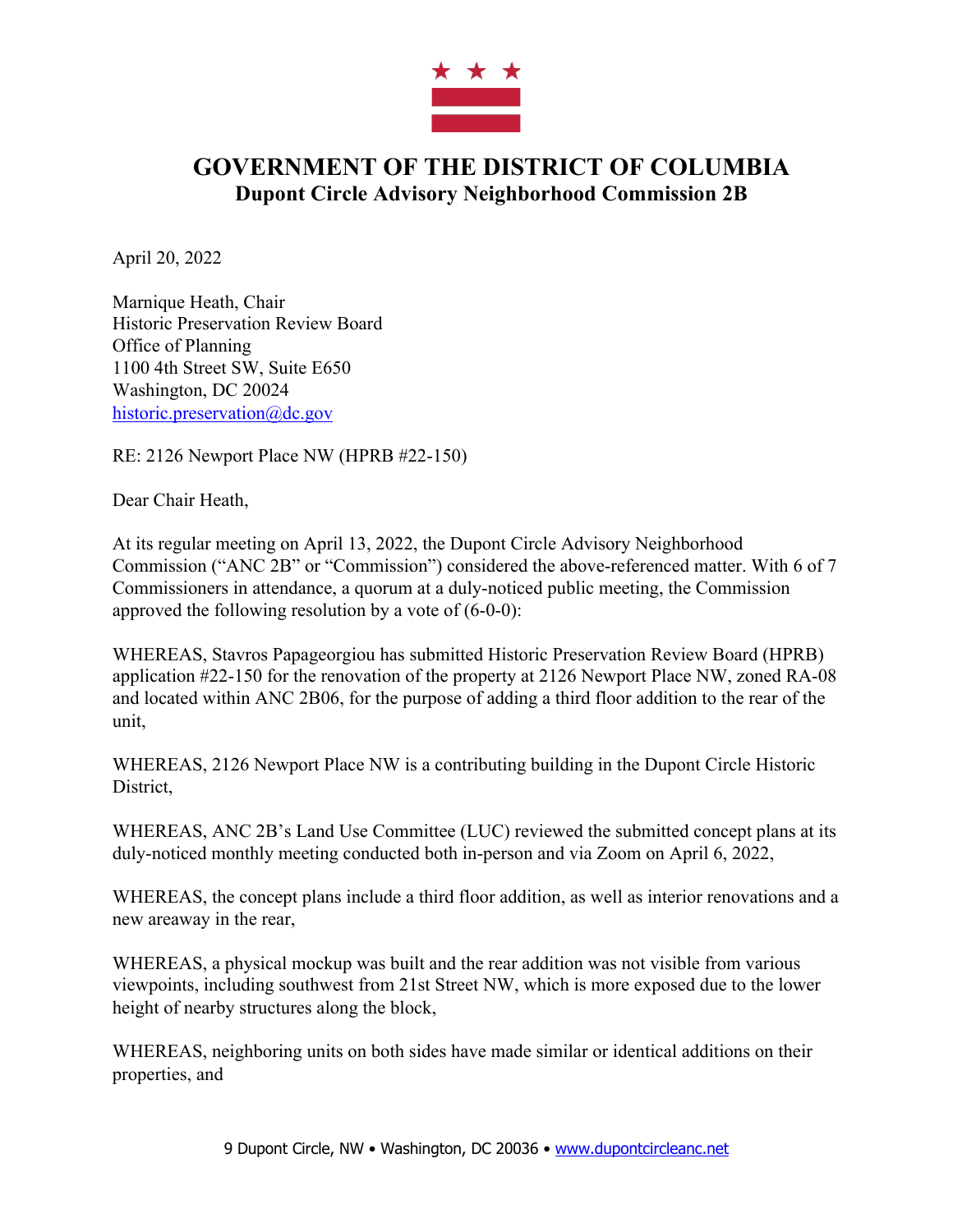

## **GOVERNMENT OF THE DISTRICT OF COLUMBIA Dupont Circle Advisory Neighborhood Commission 2B**

April 20, 2022

Marnique Heath, Chair Historic Preservation Review Board Office of Planning 1100 4th Street SW, Suite E650 Washington, DC 20024 historic.preservation@dc.gov

RE: 2126 Newport Place NW (HPRB #22-150)

Dear Chair Heath,

At its regular meeting on April 13, 2022, the Dupont Circle Advisory Neighborhood Commission ("ANC 2B" or "Commission") considered the above-referenced matter. With 6 of 7 Commissioners in attendance, a quorum at a duly-noticed public meeting, the Commission approved the following resolution by a vote of (6-0-0):

WHEREAS, Stavros Papageorgiou has submitted Historic Preservation Review Board (HPRB) application #22-150 for the renovation of the property at 2126 Newport Place NW, zoned RA-08 and located within ANC 2B06, for the purpose of adding a third floor addition to the rear of the unit,

WHEREAS, 2126 Newport Place NW is a contributing building in the Dupont Circle Historic District,

WHEREAS, ANC 2B's Land Use Committee (LUC) reviewed the submitted concept plans at its duly-noticed monthly meeting conducted both in-person and via Zoom on April 6, 2022,

WHEREAS, the concept plans include a third floor addition, as well as interior renovations and a new areaway in the rear,

WHEREAS, a physical mockup was built and the rear addition was not visible from various viewpoints, including southwest from 21st Street NW, which is more exposed due to the lower height of nearby structures along the block,

WHEREAS, neighboring units on both sides have made similar or identical additions on their properties, and